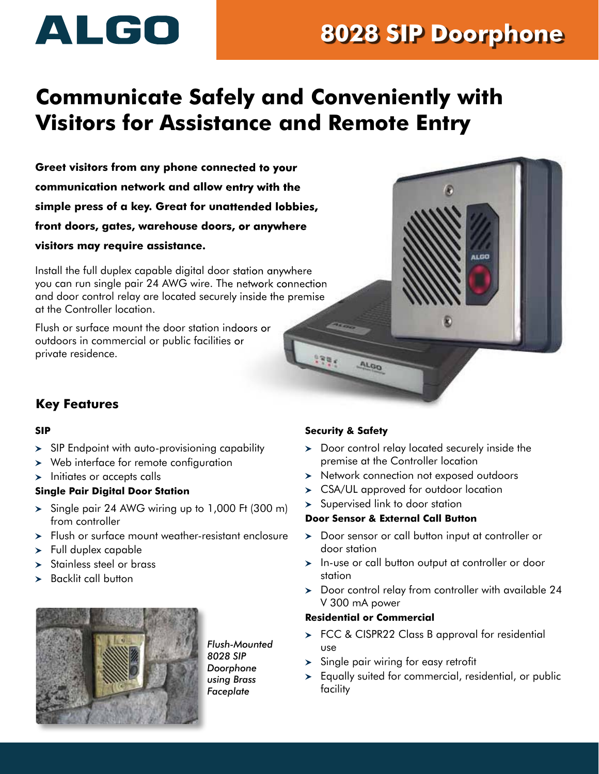# ALGO

## **8028 SIP Doorphone**

### **Communicate Safely and Conveniently with Visitors for Assistance and Remote Entry**

**Greet visitors from any phone connected to your communication network and allow entry with the simple press of a key. Great for unattended lobbies, front doors, gates, warehouse doors, or anywhere visitors may require assistance.**

Install the full duplex capable digital door station anywhere you can run single pair 24 AWG wire. The network connection and door control relay are located securely inside the premise at the Controller location.

Flush or surface mount the door station indoors or outdoors in commercial or public facilities or private residence. 



### **Key Features**

#### **SIP**

- $>$  SIP Endpoint with auto-provisioning capability
- Web interface for remote configuration
- $\blacktriangleright$  Initiates or accepts calls

#### **Single Pair Digital Door Station**

- $>$  Single pair 24 AWG wiring up to 1,000 Ft (300 m) from controller
- Flush or surface mount weather-resistant enclosure
- > Full duplex capable
- > Stainless steel or brass
- $\blacktriangleright$  Backlit call button



*Flush-Mounted 8028 SIP Doorphone using Brass Faceplate*

#### **Security & Safety**

- $\geq$  Door control relay located securely inside the premise at the Controller location
- > Network connection not exposed outdoors
- CSA/UL approved for outdoor location
- > Supervised link to door station

#### **Door Sensor & External Call Button**

- > Door sensor or call button input at controller or door station
- > In-use or call button output at controller or door station
- > Door control relay from controller with available 24 V 300 mA power

#### **Residential or Commercial**

- > FCC & CISPR22 Class B approval for residential use
- $>$  Single pair wiring for easy retrofit
- Equally suited for commercial, residential, or public facility